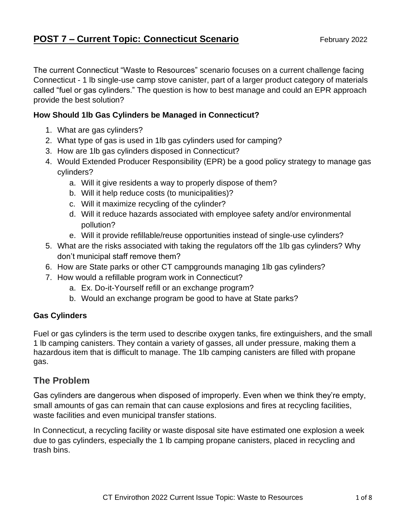# **POST 7 – Current Topic: Connecticut Scenario** February 2022

The current Connecticut "Waste to Resources" scenario focuses on a current challenge facing Connecticut - 1 lb single-use camp stove canister, part of a larger product category of materials called "fuel or gas cylinders." The question is how to best manage and could an EPR approach provide the best solution?

## **How Should 1lb Gas Cylinders be Managed in Connecticut?**

- 1. What are gas cylinders?
- 2. What type of gas is used in 1lb gas cylinders used for camping?
- 3. How are 1lb gas cylinders disposed in Connecticut?
- 4. Would Extended Producer Responsibility (EPR) be a good policy strategy to manage gas cylinders?
	- a. Will it give residents a way to properly dispose of them?
	- b. Will it help reduce costs (to municipalities)?
	- c. Will it maximize recycling of the cylinder?
	- d. Will it reduce hazards associated with employee safety and/or environmental pollution?
	- e. Will it provide refillable/reuse opportunities instead of single-use cylinders?
- 5. What are the risks associated with taking the regulators off the 1lb gas cylinders? Why don't municipal staff remove them?
- 6. How are State parks or other CT campgrounds managing 1lb gas cylinders?
- 7. How would a refillable program work in Connecticut?
	- a. Ex. Do-it-Yourself refill or an exchange program?
	- b. Would an exchange program be good to have at State parks?

## **Gas Cylinders**

Fuel or gas cylinders is the term used to describe oxygen tanks, fire extinguishers, and the small 1 lb camping canisters. They contain a variety of gasses, all under pressure, making them a hazardous item that is difficult to manage. The 1lb camping canisters are filled with propane gas.

# **The Problem**

Gas cylinders are dangerous when disposed of improperly. Even when we think they're empty, small amounts of gas can remain that can cause explosions and fires at recycling facilities, waste facilities and even municipal transfer stations.

In Connecticut, a recycling facility or waste disposal site have estimated one explosion a week due to gas cylinders, especially the 1 lb camping propane canisters, placed in recycling and trash bins.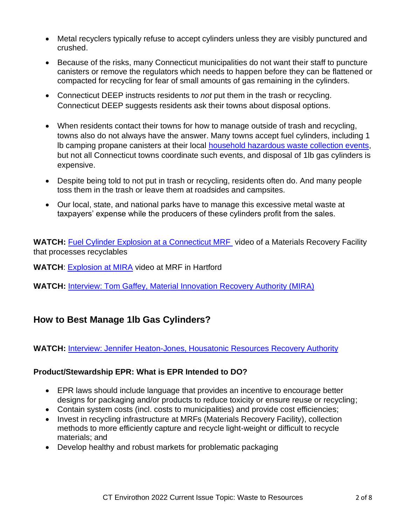- Metal recyclers typically refuse to accept cylinders unless they are visibly punctured and crushed.
- Because of the risks, many Connecticut municipalities do not want their staff to puncture canisters or remove the regulators which needs to happen before they can be flattened or compacted for recycling for fear of small amounts of gas remaining in the cylinders.
- Connecticut DEEP instructs residents to *not* put them in the trash or recycling. Connecticut DEEP suggests residents ask their towns about disposal options.
- When residents contact their towns for how to manage outside of trash and recycling, towns also do not always have the answer. Many towns accept fuel cylinders, including 1 lb camping propane canisters at their local [household hazardous waste collection events,](https://portal.ct.gov/DEEP/Waste-Management-and-Disposal/Household-Hazardous-Waste/HHW-Collection-Schedule) but not all Connecticut towns coordinate such events, and disposal of 1lb gas cylinders is expensive.
- Despite being told to not put in trash or recycling, residents often do. And many people toss them in the trash or leave them at roadsides and campsites.
- Our local, state, and national parks have to manage this excessive metal waste at taxpayers' expense while the producers of these cylinders profit from the sales.

**WATCH:** [Fuel Cylinder Explosion at a Connecticut MRF](https://www.dropbox.com/s/g2bvwnf96ggv1d8/Fuel%20Cylinder%20Explostion%20at%20a%20MRF.mp4?dl=0) video of a Materials Recovery Facility that processes recyclables

**WATCH**: [Explosion at MIRA](https://www.dropbox.com/s/o4q3bc876p3c76d/MIRA%20explosion%20for%20PSI%20meeting.mp4?dl=0) video at MRF in Hartford

**WATCH:** [Interview: Tom Gaffey, Material Innovation Recovery Authority \(MIRA\)](https://ctdeep.zoom.us/rec/share/q3vyDRgRzIxm3rL_QWz-3ixQ9Osb0Mbmrdze5mBircadFWr0O9xQ-aDtWmXLM6SQ.u0q0sF1hl8TUADv3?startTime=1643902325000)

# **How to Best Manage 1lb Gas Cylinders?**

**WATCH:** Interview: [Jennifer Heaton-Jones, Housatonic Resources Recovery Authority](https://ctdeep.zoom.us/rec/share/VqZv2Igj0WMwD5pKVAcvaLQ1IIsjYC1k2oxO5uwbgwTD_PxDvHj7GelqTv3VbApb.5C21DYc5mV2PaQDg?startTime=1643728646000)

### **Product/Stewardship EPR: What is EPR Intended to DO?**

- EPR laws should include language that provides an incentive to encourage better designs for packaging and/or products to reduce toxicity or ensure reuse or recycling;
- Contain system costs (incl. costs to municipalities) and provide cost efficiencies;
- Invest in recycling infrastructure at MRFs (Materials Recovery Facility), collection methods to more efficiently capture and recycle light-weight or difficult to recycle materials; and
- Develop healthy and robust markets for problematic packaging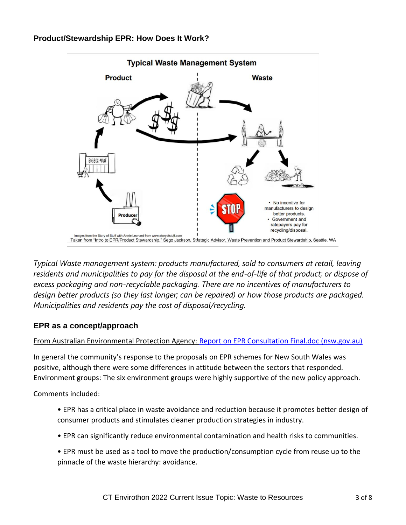#### **Product/Stewardship EPR: How Does It Work?**



*Typical Waste management system: products manufactured, sold to consumers at retail, leaving residents and municipalities to pay for the disposal at the end-of-life of that product; or dispose of excess packaging and non-recyclable packaging. There are no incentives of manufacturers to design better products (so they last longer; can be repaired) or how those products are packaged. Municipalities and residents pay the cost of disposal/recycling.*

#### **EPR as a concept/approach**

#### From Australian Environmental Protection Agency: [Report on EPR Consultation Final.doc \(nsw.gov.au\)](https://www.environment.nsw.gov.au/resources/waste/epr/reportepr.pdf)

In general the community's response to the proposals on EPR schemes for New South Wales was positive, although there were some differences in attitude between the sectors that responded. Environment groups: The six environment groups were highly supportive of the new policy approach.

Comments included:

- EPR has a critical place in waste avoidance and reduction because it promotes better design of consumer products and stimulates cleaner production strategies in industry.
- EPR can significantly reduce environmental contamination and health risks to communities.
- EPR must be used as a tool to move the production/consumption cycle from reuse up to the pinnacle of the waste hierarchy: avoidance.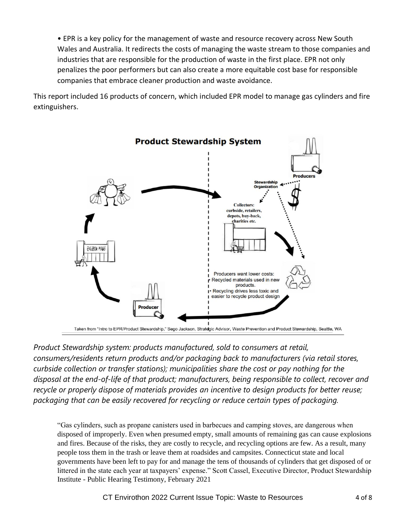• EPR is a key policy for the management of waste and resource recovery across New South Wales and Australia. It redirects the costs of managing the waste stream to those companies and industries that are responsible for the production of waste in the first place. EPR not only penalizes the poor performers but can also create a more equitable cost base for responsible companies that embrace cleaner production and waste avoidance.

This report included 16 products of concern, which included EPR model to manage gas cylinders and fire extinguishers.



*Product Stewardship system: products manufactured, sold to consumers at retail, consumers/residents return products and/or packaging back to manufacturers (via retail stores, curbside collection or transfer stations); municipalities share the cost or pay nothing for the disposal at the end-of-life of that product; manufacturers, being responsible to collect, recover and recycle or properly dispose of materials provides an incentive to design products for better reuse; packaging that can be easily recovered for recycling or reduce certain types of packaging.* 

"Gas cylinders, such as propane canisters used in barbecues and camping stoves, are dangerous when disposed of improperly. Even when presumed empty, small amounts of remaining gas can cause explosions and fires. Because of the risks, they are costly to recycle, and recycling options are few. As a result, many people toss them in the trash or leave them at roadsides and campsites. Connecticut state and local governments have been left to pay for and manage the tens of thousands of cylinders that get disposed of or littered in the state each year at taxpayers' expense." Scott Cassel, Executive Director, Product Stewardship Institute - Public Hearing Testimony, February 2021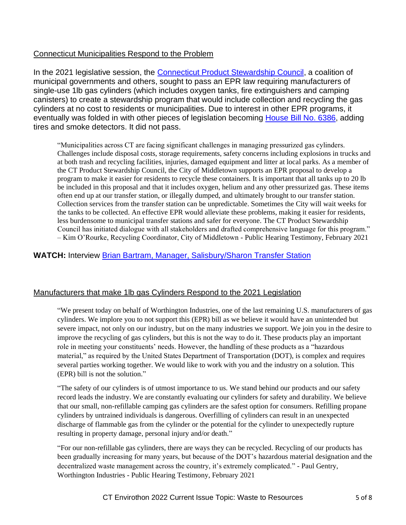### Connecticut Municipalities Respond to the Problem

In the 2021 legislative session, the [Connecticut Product Stewardship Council,](https://ctproductstewardship.com/) a coalition of municipal governments and others, sought to pass an EPR law requiring manufacturers of single-use 1lb gas cylinders (which includes oxygen tanks, fire extinguishers and camping canisters) to create a stewardship program that would include collection and recycling the gas cylinders at no cost to residents or municipalities. Due to interest in other EPR programs, it eventually was folded in with other pieces of legislation becoming [House Bill No.](https://www.cga.ct.gov/asp/CGABillStatus/cgabillstatus.asp?selBillType=Bill&bill_num=HB6386) 6386, adding tires and smoke detectors. It did not pass.

"Municipalities across CT are facing significant challenges in managing pressurized gas cylinders. Challenges include disposal costs, storage requirements, safety concerns including explosions in trucks and at both trash and recycling facilities, injuries, damaged equipment and litter at local parks. As a member of the CT Product Stewardship Council, the City of Middletown supports an EPR proposal to develop a program to make it easier for residents to recycle these containers. It is important that all tanks up to 20 lb be included in this proposal and that it includes oxygen, helium and any other pressurized gas. These items often end up at our transfer station, or illegally dumped, and ultimately brought to our transfer station. Collection services from the transfer station can be unpredictable. Sometimes the City will wait weeks for the tanks to be collected. An effective EPR would alleviate these problems, making it easier for residents, less burdensome to municipal transfer stations and safer for everyone. The CT Product Stewardship Council has initiated dialogue with all stakeholders and drafted comprehensive language for this program." – Kim O'Rourke, Recycling Coordinator, City of Middletown - Public Hearing Testimony, February 2021

#### **WATCH:** Interview [Brian Bartram, Manager, Salisbury/Sharon Transfer Station](https://ctdeep.zoom.us/rec/share/NuTuWCV-5HrNAJfBcKFugP9b98lZks1lwUTLef1ZT9N4anKt3bA3BifcepXbpLJt.Owiv5c8Lxd39y1pQ?startTime=1643816508000)

#### Manufacturers that make 1lb gas Cylinders Respond to the 2021 Legislation

"We present today on behalf of Worthington Industries, one of the last remaining U.S. manufacturers of gas cylinders. We implore you to not support this (EPR) bill as we believe it would have an unintended but severe impact, not only on our industry, but on the many industries we support. We join you in the desire to improve the recycling of gas cylinders, but this is not the way to do it. These products play an important role in meeting your constituents' needs. However, the handling of these products as a "hazardous material," as required by the United States Department of Transportation (DOT), is complex and requires several parties working together. We would like to work with you and the industry on a solution. This (EPR) bill is not the solution."

"The safety of our cylinders is of utmost importance to us. We stand behind our products and our safety record leads the industry. We are constantly evaluating our cylinders for safety and durability. We believe that our small, non-refillable camping gas cylinders are the safest option for consumers. Refilling propane cylinders by untrained individuals is dangerous. Overfilling of cylinders can result in an unexpected discharge of flammable gas from the cylinder or the potential for the cylinder to unexpectedly rupture resulting in property damage, personal injury and/or death."

"For our non-refillable gas cylinders, there are ways they can be recycled. Recycling of our products has been gradually increasing for many years, but because of the DOT's hazardous material designation and the decentralized waste management across the country, it's extremely complicated." - Paul Gentry, Worthington Industries - Public Hearing Testimony, February 2021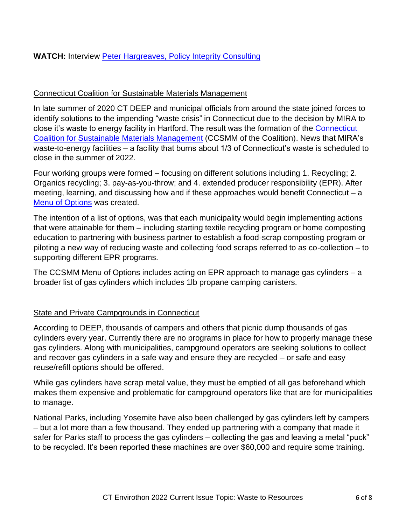### Connecticut Coalition for Sustainable Materials Management

In late summer of 2020 CT DEEP and municipal officials from around the state joined forces to identify solutions to the impending "waste crisis" in Connecticut due to the decision by MIRA to close it's waste to energy facility in Hartford. The result was the formation of the [Connecticut](https://portal.ct.gov/DEEP-CCSMM)  [Coalition for Sustainable Materials Management](https://portal.ct.gov/DEEP-CCSMM) (CCSMM of the Coalition). News that MIRA's waste-to-energy facilities – a facility that burns about 1/3 of Connecticut's waste is scheduled to close in the summer of 2022.

Four working groups were formed – focusing on different solutions including 1. Recycling; 2. Organics recycling; 3. pay-as-you-throw; and 4. extended producer responsibility (EPR). After meeting, learning, and discussing how and if these approaches would benefit Connecticut – a [Menu of Options](https://portal.ct.gov/-/media/DEEP/waste_management_and_disposal/CCSMM/CCSMM-Options-Menu-Dec-2020-v-2.pdf) was created.

The intention of a list of options, was that each municipality would begin implementing actions that were attainable for them – including starting textile recycling program or home composting education to partnering with business partner to establish a food-scrap composting program or piloting a new way of reducing waste and collecting food scraps referred to as co-collection – to supporting different EPR programs.

The CCSMM Menu of Options includes acting on EPR approach to manage gas cylinders – a broader list of gas cylinders which includes 1lb propane camping canisters.

#### **State and Private Campgrounds in Connecticut**

According to DEEP, thousands of campers and others that picnic dump thousands of gas cylinders every year. Currently there are no programs in place for how to properly manage these gas cylinders. Along with municipalities, campground operators are seeking solutions to collect and recover gas cylinders in a safe way and ensure they are recycled – or safe and easy reuse/refill options should be offered.

While gas cylinders have scrap metal value, they must be emptied of all gas beforehand which makes them expensive and problematic for campground operators like that are for municipalities to manage.

National Parks, including Yosemite have also been challenged by gas cylinders left by campers – but a lot more than a few thousand. They ended up partnering with a company that made it safer for Parks staff to process the gas cylinders – collecting the gas and leaving a metal "puck" to be recycled. It's been reported these machines are over \$60,000 and require some training.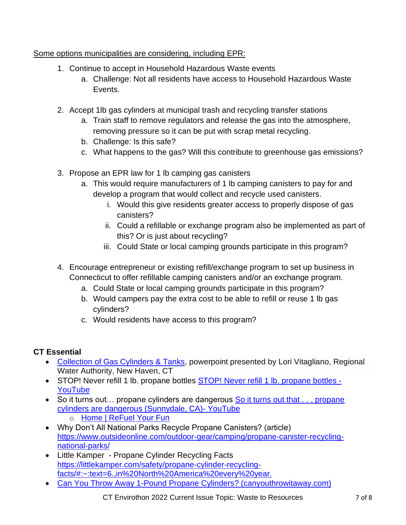## Some options municipalities are considering, including EPR:

- 1. Continue to accept in Household Hazardous Waste events
	- a. Challenge: Not all residents have access to Household Hazardous Waste Events.
- 2. Accept 1lb gas cylinders at municipal trash and recycling transfer stations
	- a. Train staff to remove regulators and release the gas into the atmosphere, removing pressure so it can be put with scrap metal recycling.
	- b. Challenge: Is this safe?
	- c. What happens to the gas? Will this contribute to greenhouse gas emissions?
- 3. Propose an EPR law for 1 lb camping gas canisters
	- a. This would require manufacturers of 1 lb camping canisters to pay for and develop a program that would collect and recycle used canisters.
		- i. Would this give residents greater access to properly dispose of gas canisters?
		- ii. Could a refillable or exchange program also be implemented as part of this? Or is just about recycling?
		- iii. Could State or local camping grounds participate in this program?
- 4. Encourage entrepreneur or existing refill/exchange program to set up business in Connecticut to offer refillable camping canisters and/or an exchange program.
	- a. Could State or local camping grounds participate in this program?
	- b. Would campers pay the extra cost to be able to refill or reuse 1 lb gas cylinders?
	- c. Would residents have access to this program?

## **CT Essential**

- [Collection of Gas Cylinders & Tanks,](https://portal.ct.gov/-/media/DEEP/waste_management_and_disposal/CCSMM/EPR-Working-Group/LV-HWC-10222020-CCSMM.pdf) powerpoint presented by Lori Vitagliano, Regional Water Authority, New Haven, CT
- STOP! Never refill 1 lb. propane bottles [STOP! Never refill 1 lb. propane bottles -](https://www.youtube.com/watch?v=g2_GhyAw3vM) [YouTube](https://www.youtube.com/watch?v=g2_GhyAw3vM)
- So it turns out... propane cylinders are dangerous So it turns out that ... propane [cylinders are dangerous \(Sunnydale, CA\)-](https://www.youtube.com/watch?v=n8uCgM92QvE) YouTube o [Home | ReFuel Your Fun](https://www.refuelyourfun.org/?fbclid=IwAR1nb6vKr9Wa0_nVzdOVlY7k01CCvfaXuFIJjAQB8tboPnPWITG1ERR-GgA)
- Why Don't All National Parks Recycle Propane Canisters? (article) [https://www.outsideonline.com/outdoor-gear/camping/propane-canister-recycling](https://www.outsideonline.com/outdoor-gear/camping/propane-canister-recycling-national-parks/)[national-parks/](https://www.outsideonline.com/outdoor-gear/camping/propane-canister-recycling-national-parks/)
- Little Kamper Propane Cylinder Recycling Facts [https://littlekamper.com/safety/propane-cylinder-recycling](https://littlekamper.com/safety/propane-cylinder-recycling-facts/#:~:text=6.,in%20North%20America%20every%20year.)[facts/#:~:text=6.,in%20North%20America%20every%20year.](https://littlekamper.com/safety/propane-cylinder-recycling-facts/#:~:text=6.,in%20North%20America%20every%20year.)
- [Can You Throw Away 1-Pound Propane Cylinders? \(canyouthrowitaway.com\)](https://canyouthrowitaway.com/1-pound-propane-cylinders/)